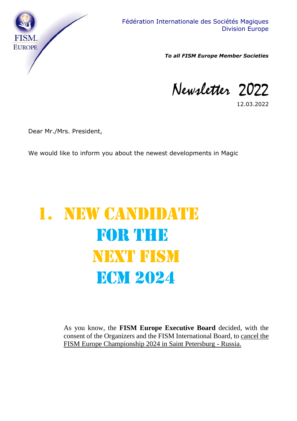

*To all FISM Europe Member Societies*

Newsletter 2022

12.03.2022

Dear Mr./Mrs. President,

We would like to inform you about the newest developments in Magic

# 1. NEW CANDIDATE for the next FISM **ECM 2024**

As you know, the **FISM Europe Executive Board** decided, with the consent of the Organizers and the FISM International Board, to cancel the FISM Europe Championship 2024 in Saint Petersburg - Russia.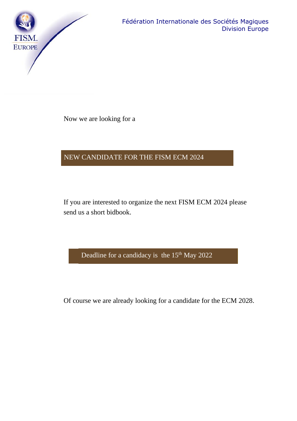

Now we are looking for a

### NEW CANDIDATE FOR THE FISM ECM 2024

If you are interested to organize the next FISM ECM 2024 please send us a short bidbook.

Deadline for a candidacy is the 15<sup>th</sup> May 2022

Of course we are already looking for a candidate for the ECM 2028.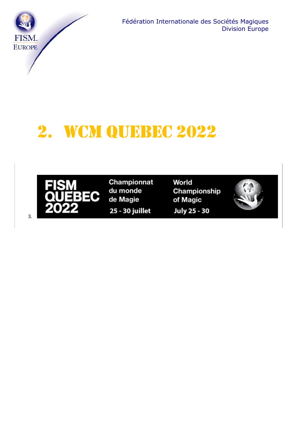

## 2. WCM QUEBEC 2022



3.

Championnat du monde de Magie

25 - 30 juillet

World Championship of Magic **July 25 - 30** 

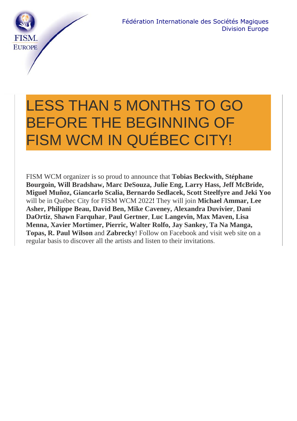

## LESS THAN 5 MONTHS TO GO BEFORE THE BEGINNING OF FISM WCM IN QUÉBEC CITY!

FISM WCM organizer is so proud to announce that **Tobias Beckwith, Stéphane Bourgoin, Will Bradshaw, Marc DeSouza, Julie Eng, Larry Hass, Jeff McBride, Miguel Muñoz, Giancarlo Scalia, Bernardo Sedlacek, Scott Steelfyre and Jeki Yoo** will be in Québec City for FISM WCM 2022**!** They will join **Michael Ammar, Lee Asher, Philippe Beau, David Ben, Mike Caveney, Alexandra Duvivier**, **Dani DaOrtiz**, **Shawn Farquhar**, **Paul Gertner**, **Luc Langevin, Max Maven, Lisa Menna, Xavier Mortimer, Pierric, Walter Rolfo, Jay Sankey, Ta Na Manga, Topas, R. Paul Wilson** and **Zabrecky**! Follow on Facebook and visit web site on a regular basis to discover all the artists and listen to their invitations.